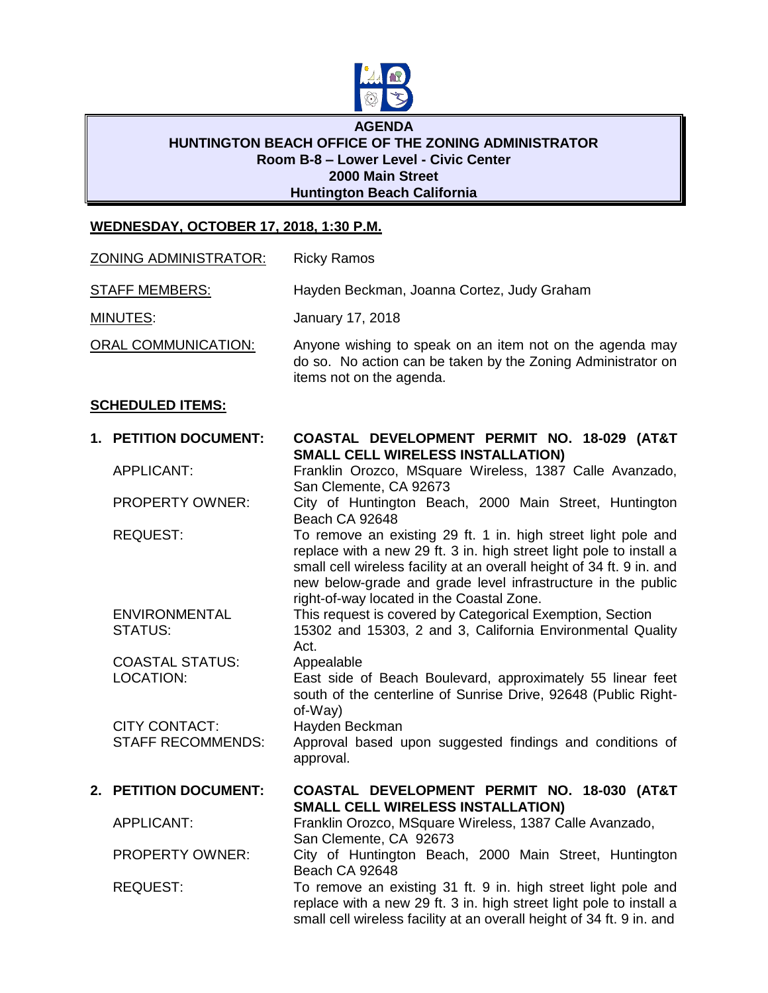

## **AGENDA HUNTINGTON BEACH OFFICE OF THE ZONING ADMINISTRATOR Room B-8 – Lower Level - Civic Center 2000 Main Street Huntington Beach California**

## **WEDNESDAY, OCTOBER 17, 2018, 1:30 P.M.**

| <b>ZONING ADMINISTRATOR:</b> |                                                  | <b>Ricky Ramos</b>                                                                                                                                                                                                                                                            |
|------------------------------|--------------------------------------------------|-------------------------------------------------------------------------------------------------------------------------------------------------------------------------------------------------------------------------------------------------------------------------------|
| <b>STAFF MEMBERS:</b>        |                                                  | Hayden Beckman, Joanna Cortez, Judy Graham                                                                                                                                                                                                                                    |
| <b>MINUTES:</b>              |                                                  | January 17, 2018                                                                                                                                                                                                                                                              |
| <b>ORAL COMMUNICATION:</b>   |                                                  | Anyone wishing to speak on an item not on the agenda may<br>do so. No action can be taken by the Zoning Administrator on<br>items not on the agenda.                                                                                                                          |
|                              | <b>SCHEDULED ITEMS:</b>                          |                                                                                                                                                                                                                                                                               |
|                              | 1. PETITION DOCUMENT:                            | COASTAL DEVELOPMENT PERMIT NO. 18-029 (AT&T<br><b>SMALL CELL WIRELESS INSTALLATION)</b><br>Franklin Orozco, MSquare Wireless, 1387 Calle Avanzado,<br>San Clemente, CA 92673<br>City of Huntington Beach, 2000 Main Street, Huntington<br>Beach CA 92648                      |
|                              | <b>APPLICANT:</b>                                |                                                                                                                                                                                                                                                                               |
|                              | <b>PROPERTY OWNER:</b>                           |                                                                                                                                                                                                                                                                               |
|                              | <b>REQUEST:</b>                                  | To remove an existing 29 ft. 1 in. high street light pole and<br>replace with a new 29 ft. 3 in. high street light pole to install a<br>small cell wireless facility at an overall height of 34 ft. 9 in. and<br>new below-grade and grade level infrastructure in the public |
|                              | <b>ENVIRONMENTAL</b><br>STATUS:                  | right-of-way located in the Coastal Zone.<br>This request is covered by Categorical Exemption, Section<br>15302 and 15303, 2 and 3, California Environmental Quality<br>Act.                                                                                                  |
|                              | <b>COASTAL STATUS:</b><br><b>LOCATION:</b>       | Appealable<br>East side of Beach Boulevard, approximately 55 linear feet<br>south of the centerline of Sunrise Drive, 92648 (Public Right-<br>of-Way)                                                                                                                         |
|                              | <b>CITY CONTACT:</b><br><b>STAFF RECOMMENDS:</b> | Hayden Beckman<br>Approval based upon suggested findings and conditions of<br>approval.                                                                                                                                                                                       |
|                              | 2. PETITION DOCUMENT:                            | COASTAL DEVELOPMENT PERMIT NO. 18-030 (AT&T<br><b>SMALL CELL WIRELESS INSTALLATION)</b>                                                                                                                                                                                       |
|                              | <b>APPLICANT:</b>                                | Franklin Orozco, MSquare Wireless, 1387 Calle Avanzado,                                                                                                                                                                                                                       |
|                              | PROPERTY OWNER:                                  | San Clemente, CA 92673<br>City of Huntington Beach, 2000 Main Street, Huntington                                                                                                                                                                                              |
|                              | <b>REQUEST:</b>                                  | Beach CA 92648<br>To remove an existing 31 ft. 9 in. high street light pole and<br>replace with a new 29 ft. 3 in. high street light pole to install a<br>small cell wireless facility at an overall height of 34 ft. 9 in. and                                               |